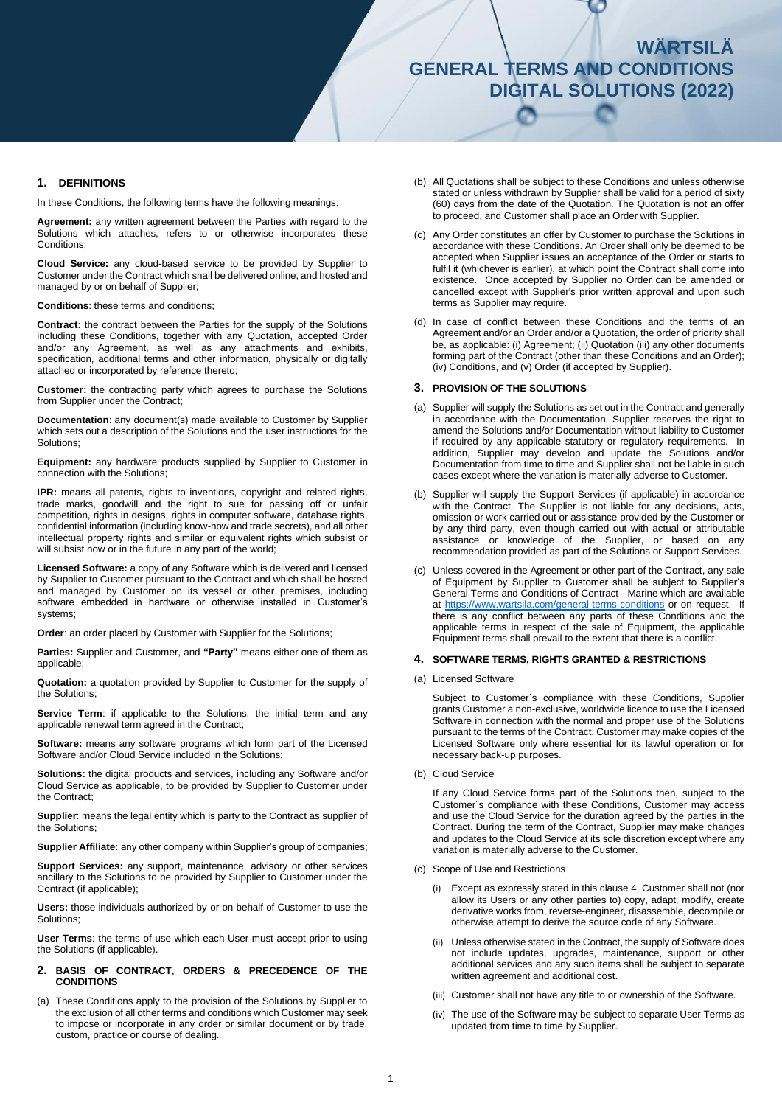# **WÄRTSILÄ WÄRTSILÄ GENERAL TERMS AND CONDITIONS GENERAL TERMS AND CONDITIONS PARTS (2015) DIGITAL SOLUTIONS (2022)**

# **1. DEFINITIONS**

In these Conditions, the following terms have the following meanings:

**Agreement:** any written agreement between the Parties with regard to the Solutions which attaches, refers to or otherwise incorporates these Conditions:

**Cloud Service:** any cloud-based service to be provided by Supplier to Customer under the Contract which shall be delivered online, and hosted and managed by or on behalf of Supplier;

**Conditions**: these terms and conditions;

**Contract:** the contract between the Parties for the supply of the Solutions including these Conditions, together with any Quotation, accepted Order and/or any Agreement, as well as any attachments and exhibits, specification, additional terms and other information, physically or digitally attached or incorporated by reference thereto;

**Customer:** the contracting party which agrees to purchase the Solutions from Supplier under the Contract;

**Documentation**: any document(s) made available to Customer by Supplier which sets out a description of the Solutions and the user instructions for the Solutions;

**Equipment:** any hardware products supplied by Supplier to Customer in connection with the Solutions;

**IPR:** means all patents, rights to inventions, copyright and related rights, trade marks, goodwill and the right to sue for passing off or unfair competition, rights in designs, rights in computer software, database rights, confidential information (including know-how and trade secrets), and all other intellectual property rights and similar or equivalent rights which subsist or will subsist now or in the future in any part of the world;

**Licensed Software:** a copy of any Software which is delivered and licensed by Supplier to Customer pursuant to the Contract and which shall be hosted and managed by Customer on its vessel or other premises, including software embedded in hardware or otherwise installed in Customer's systems;

**Order:** an order placed by Customer with Supplier for the Solutions;

**Parties:** Supplier and Customer, and **"Party"** means either one of them as applicable;

**Quotation:** a quotation provided by Supplier to Customer for the supply of the Solutions;

Service Term: if applicable to the Solutions, the initial term and any applicable renewal term agreed in the Contract;

**Software:** means any software programs which form part of the Licensed Software and/or Cloud Service included in the Solutions;

**Solutions:** the digital products and services, including any Software and/or Cloud Service as applicable, to be provided by Supplier to Customer under the Contract;

**Supplier**: means the legal entity which is party to the Contract as supplier of the Solutions;

**Supplier Affiliate:** any other company within Supplier's group of companies;

**Support Services:** any support, maintenance, advisory or other services ancillary to the Solutions to be provided by Supplier to Customer under the Contract (if applicable);

**Users:** those individuals authorized by or on behalf of Customer to use the Solutions;

**User Terms**: the terms of use which each User must accept prior to using the Solutions (if applicable).

- **2. BASIS OF CONTRACT, ORDERS & PRECEDENCE OF THE CONDITIONS**
- (a) These Conditions apply to the provision of the Solutions by Supplier to the exclusion of all other terms and conditions which Customer may seek to impose or incorporate in any order or similar document or by trade, custom, practice or course of dealing.
- (b) All Quotations shall be subject to these Conditions and unless otherwise stated or unless withdrawn by Supplier shall be valid for a period of sixty (60) days from the date of the Quotation. The Quotation is not an offer to proceed, and Customer shall place an Order with Supplier.
- (c) Any Order constitutes an offer by Customer to purchase the Solutions in accordance with these Conditions. An Order shall only be deemed to be accepted when Supplier issues an acceptance of the Order or starts to fulfil it (whichever is earlier), at which point the Contract shall come into existence. Once accepted by Supplier no Order can be amended or cancelled except with Supplier's prior written approval and upon such terms as Supplier may require.
- (d) In case of conflict between these Conditions and the terms of an Agreement and/or an Order and/or a Quotation, the order of priority shall be, as applicable: (i) Agreement; (ii) Quotation (iii) any other documents forming part of the Contract (other than these Conditions and an Order); (iv) Conditions, and (v) Order (if accepted by Supplier).

#### **3. PROVISION OF THE SOLUTIONS**

- (a) Supplier will supply the Solutions as set out in the Contract and generally in accordance with the Documentation. Supplier reserves the right to amend the Solutions and/or Documentation without liability to Customer if required by any applicable statutory or regulatory requirements. In addition, Supplier may develop and update the Solutions and/or Documentation from time to time and Supplier shall not be liable in such cases except where the variation is materially adverse to Customer.
- (b) Supplier will supply the Support Services (if applicable) in accordance with the Contract. The Supplier is not liable for any decisions, acts, omission or work carried out or assistance provided by the Customer or by any third party, even though carried out with actual or attributable assistance or knowledge of the Supplier, or based on any recommendation provided as part of the Solutions or Support Services.
- (c) Unless covered in the Agreement or other part of the Contract, any sale of Equipment by Supplier to Customer shall be subject to Supplier's General Terms and Conditions of Contract - Marine which are available at<https://www.wartsila.com/general-terms-conditions> or on request. If there is any conflict between any parts of these Conditions and the applicable terms in respect of the sale of Equipment, the applicable Equipment terms shall prevail to the extent that there is a conflict.

#### **4. SOFTWARE TERMS, RIGHTS GRANTED & RESTRICTIONS**

#### (a) Licensed Software

Subject to Customer´s compliance with these Conditions, Supplier grants Customer a non-exclusive, worldwide licence to use the Licensed Software in connection with the normal and proper use of the Solutions pursuant to the terms of the Contract. Customer may make copies of the Licensed Software only where essential for its lawful operation or for necessary back-up purposes.

(b) Cloud Service

If any Cloud Service forms part of the Solutions then, subject to the Customer´s compliance with these Conditions, Customer may access and use the Cloud Service for the duration agreed by the parties in the Contract. During the term of the Contract, Supplier may make changes and updates to the Cloud Service at its sole discretion except where any variation is materially adverse to the Customer.

- (c) Scope of Use and Restrictions
	- (i) Except as expressly stated in this clause 4, Customer shall not (nor allow its Users or any other parties to) copy, adapt, modify, create derivative works from, reverse-engineer, disassemble, decompile or otherwise attempt to derive the source code of any Software.
	- (ii) Unless otherwise stated in the Contract, the supply of Software does not include updates, upgrades, maintenance, support or other additional services and any such items shall be subject to separate written agreement and additional cost.
	- (iii) Customer shall not have any title to or ownership of the Software.
	- (iv) The use of the Software may be subject to separate User Terms as updated from time to time by Supplier.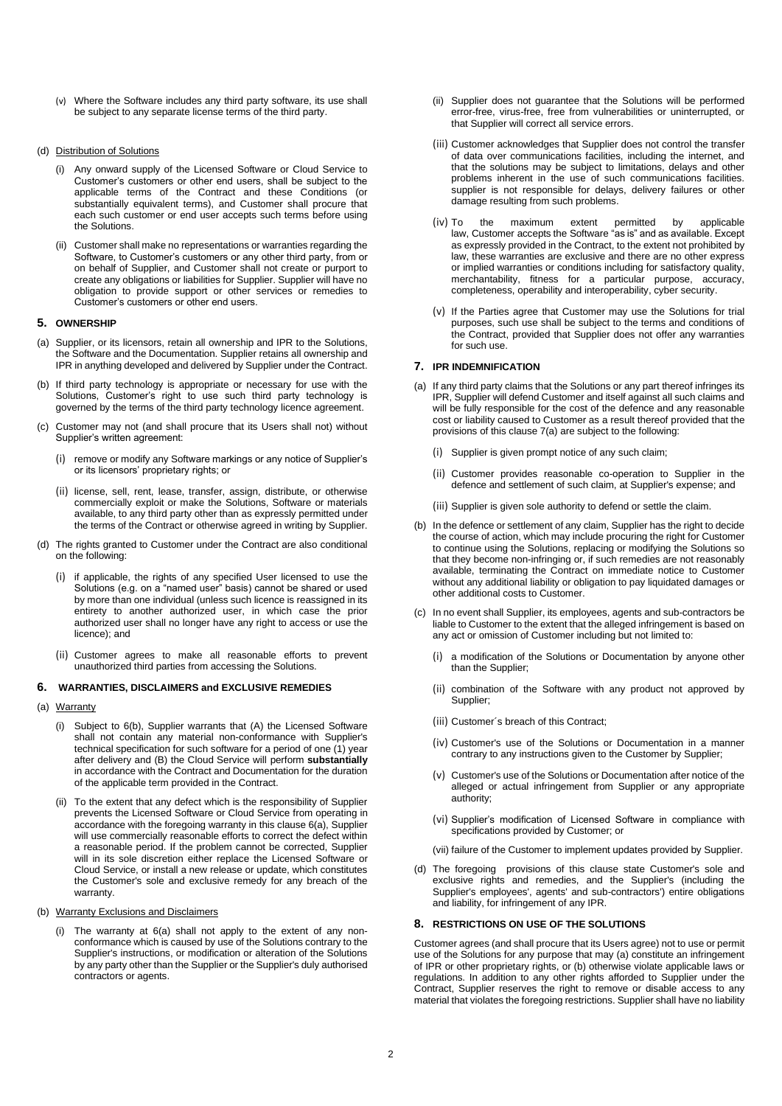(v) Where the Software includes any third party software, its use shall be subject to any separate license terms of the third party.

## (d) Distribution of Solutions

- (i) Any onward supply of the Licensed Software or Cloud Service to Customer's customers or other end users, shall be subject to the applicable terms of the Contract and these Conditions (or substantially equivalent terms), and Customer shall procure that each such customer or end user accepts such terms before using the Solutions.
- (ii) Customer shall make no representations or warranties regarding the Software, to Customer's customers or any other third party, from or on behalf of Supplier, and Customer shall not create or purport to create any obligations or liabilities for Supplier. Supplier will have no obligation to provide support or other services or remedies to Customer's customers or other end users.

#### **5. OWNERSHIP**

- (a) Supplier, or its licensors, retain all ownership and IPR to the Solutions, the Software and the Documentation. Supplier retains all ownership and IPR in anything developed and delivered by Supplier under the Contract.
- (b) If third party technology is appropriate or necessary for use with the Solutions, Customer's right to use such third party technology is governed by the terms of the third party technology licence agreement.
- Customer may not (and shall procure that its Users shall not) without Supplier's written agreement:
	- (i) remove or modify any Software markings or any notice of Supplier's or its licensors' proprietary rights; or
	- (ii) license, sell, rent, lease, transfer, assign, distribute, or otherwise commercially exploit or make the Solutions, Software or materials available, to any third party other than as expressly permitted under the terms of the Contract or otherwise agreed in writing by Supplier.
- (d) The rights granted to Customer under the Contract are also conditional on the following:
	- (i) if applicable, the rights of any specified User licensed to use the Solutions (e.g. on a "named user" basis) cannot be shared or used by more than one individual (unless such licence is reassigned in its entirety to another authorized user, in which case the prior authorized user shall no longer have any right to access or use the licence); and
	- (ii) Customer agrees to make all reasonable efforts to prevent unauthorized third parties from accessing the Solutions.

## **6. WARRANTIES, DISCLAIMERS and EXCLUSIVE REMEDIES**

- (a) Warranty
	- (i) Subject to 6(b), Supplier warrants that (A) the Licensed Software shall not contain any material non-conformance with Supplier's technical specification for such software for a period of one (1) year after delivery and (B) the Cloud Service will perform **substantially** in accordance with the Contract and Documentation for the duration of the applicable term provided in the Contract.
	- (ii) To the extent that any defect which is the responsibility of Supplier prevents the Licensed Software or Cloud Service from operating in accordance with the foregoing warranty in this clause 6(a), Supplier will use commercially reasonable efforts to correct the defect within a reasonable period. If the problem cannot be corrected, Supplier will in its sole discretion either replace the Licensed Software or Cloud Service, or install a new release or update, which constitutes the Customer's sole and exclusive remedy for any breach of the warranty.
- (b) Warranty Exclusions and Disclaimers
	- (i) The warranty at 6(a) shall not apply to the extent of any nonconformance which is caused by use of the Solutions contrary to the Supplier's instructions, or modification or alteration of the Solutions by any party other than the Supplier or the Supplier's duly authorised contractors or agents.
- (ii) Supplier does not guarantee that the Solutions will be performed error-free, virus-free, free from vulnerabilities or uninterrupted, or that Supplier will correct all service errors.
- (iii) Customer acknowledges that Supplier does not control the transfer of data over communications facilities, including the internet, and that the solutions may be subject to limitations, delays and other problems inherent in the use of such communications facilities. supplier is not responsible for delays, delivery failures or other damage resulting from such problems.
- (iv) To the maximum extent permitted by applicable law, Customer accepts the Software "as is" and as available. Except as expressly provided in the Contract, to the extent not prohibited by law, these warranties are exclusive and there are no other express or implied warranties or conditions including for satisfactory quality, merchantability, fitness for a particular purpose, accuracy, completeness, operability and interoperability, cyber security.
- (v) If the Parties agree that Customer may use the Solutions for trial purposes, such use shall be subject to the terms and conditions of the Contract, provided that Supplier does not offer any warranties for such use.

# **7. IPR INDEMNIFICATION**

- (a) If any third party claims that the Solutions or any part thereof infringes its IPR, Supplier will defend Customer and itself against all such claims and will be fully responsible for the cost of the defence and any reasonable cost or liability caused to Customer as a result thereof provided that the provisions of this clause 7(a) are subject to the following:
	- (i) Supplier is given prompt notice of any such claim;
	- (ii) Customer provides reasonable co-operation to Supplier in the defence and settlement of such claim, at Supplier's expense; and
	- (iii) Supplier is given sole authority to defend or settle the claim.
- (b) In the defence or settlement of any claim, Supplier has the right to decide the course of action, which may include procuring the right for Customer to continue using the Solutions, replacing or modifying the Solutions so that they become non-infringing or, if such remedies are not reasonably available, terminating the Contract on immediate notice to Customer without any additional liability or obligation to pay liquidated damages or other additional costs to Customer.
- (c) In no event shall Supplier, its employees, agents and sub-contractors be liable to Customer to the extent that the alleged infringement is based on any act or omission of Customer including but not limited to:
	- (i) a modification of the Solutions or Documentation by anyone other than the Supplier;
	- (ii) combination of the Software with any product not approved by Supplier;
	- (iii) Customer´s breach of this Contract;
	- (iv) Customer's use of the Solutions or Documentation in a manner contrary to any instructions given to the Customer by Supplier;
	- (v) Customer's use of the Solutions or Documentation after notice of the alleged or actual infringement from Supplier or any appropriate authority;
	- (vi) Supplier's modification of Licensed Software in compliance with specifications provided by Customer; or
	- (vii) failure of the Customer to implement updates provided by Supplier.
- (d) The foregoing provisions of this clause state Customer's sole and exclusive rights and remedies, and the Supplier's (including the Supplier's employees', agents' and sub-contractors') entire obligations and liability, for infringement of any IPR.

#### **8. RESTRICTIONS ON USE OF THE SOLUTIONS**

Customer agrees (and shall procure that its Users agree) not to use or permit use of the Solutions for any purpose that may (a) constitute an infringement of IPR or other proprietary rights, or (b) otherwise violate applicable laws or regulations. In addition to any other rights afforded to Supplier under the Contract, Supplier reserves the right to remove or disable access to any material that violates the foregoing restrictions. Supplier shall have no liability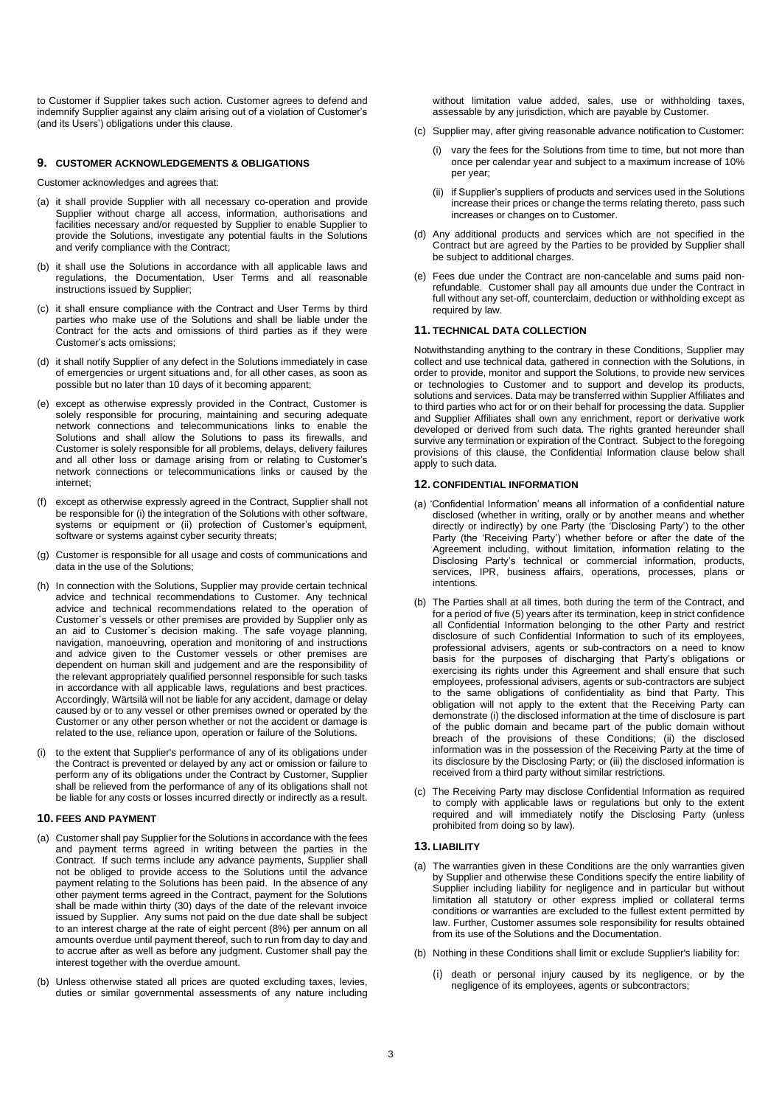to Customer if Supplier takes such action. Customer agrees to defend and indemnify Supplier against any claim arising out of a violation of Customer's (and its Users') obligations under this clause.

# **9. CUSTOMER ACKNOWLEDGEMENTS & OBLIGATIONS**

Customer acknowledges and agrees that:

- (a) it shall provide Supplier with all necessary co-operation and provide Supplier without charge all access, information, authorisations and facilities necessary and/or requested by Supplier to enable Supplier to provide the Solutions, investigate any potential faults in the Solutions and verify compliance with the Contract;
- (b) it shall use the Solutions in accordance with all applicable laws and regulations, the Documentation, User Terms and all reasonable instructions issued by Supplier;
- it shall ensure compliance with the Contract and User Terms by third parties who make use of the Solutions and shall be liable under the Contract for the acts and omissions of third parties as if they were Customer's acts omissions;
- (d) it shall notify Supplier of any defect in the Solutions immediately in case of emergencies or urgent situations and, for all other cases, as soon as possible but no later than 10 days of it becoming apparent;
- (e) except as otherwise expressly provided in the Contract, Customer is solely responsible for procuring, maintaining and securing adequate network connections and telecommunications links to enable the Solutions and shall allow the Solutions to pass its firewalls, and Customer is solely responsible for all problems, delays, delivery failures and all other loss or damage arising from or relating to Customer's network connections or telecommunications links or caused by the internet;
- (f) except as otherwise expressly agreed in the Contract, Supplier shall not be responsible for (i) the integration of the Solutions with other software, systems or equipment or (ii) protection of Customer's equipment, software or systems against cyber security threats;
- (g) Customer is responsible for all usage and costs of communications and data in the use of the Solutions;
- (h) In connection with the Solutions, Supplier may provide certain technical advice and technical recommendations to Customer. Any technical advice and technical recommendations related to the operation of Customer´s vessels or other premises are provided by Supplier only as an aid to Customer´s decision making. The safe voyage planning, navigation, manoeuvring, operation and monitoring of and instructions and advice given to the Customer vessels or other premises are dependent on human skill and judgement and are the responsibility of the relevant appropriately qualified personnel responsible for such tasks in accordance with all applicable laws, regulations and best practices. Accordingly, Wärtsilä will not be liable for any accident, damage or delay caused by or to any vessel or other premises owned or operated by the Customer or any other person whether or not the accident or damage is related to the use, reliance upon, operation or failure of the Solutions.
- (i) to the extent that Supplier's performance of any of its obligations under the Contract is prevented or delayed by any act or omission or failure to perform any of its obligations under the Contract by Customer, Supplier shall be relieved from the performance of any of its obligations shall not be liable for any costs or losses incurred directly or indirectly as a result.

#### **10. FEES AND PAYMENT**

- (a) Customer shall pay Supplier for the Solutions in accordance with the fees and payment terms agreed in writing between the parties in the Contract. If such terms include any advance payments. Supplier shall not be obliged to provide access to the Solutions until the advance payment relating to the Solutions has been paid. In the absence of any other payment terms agreed in the Contract, payment for the Solutions shall be made within thirty (30) days of the date of the relevant invoice issued by Supplier. Any sums not paid on the due date shall be subject to an interest charge at the rate of eight percent (8%) per annum on all amounts overdue until payment thereof, such to run from day to day and to accrue after as well as before any judgment. Customer shall pay the interest together with the overdue amount.
- (b) Unless otherwise stated all prices are quoted excluding taxes, levies, duties or similar governmental assessments of any nature including

without limitation value added, sales, use or withholding taxes, assessable by any jurisdiction, which are payable by Customer.

- (c) Supplier may, after giving reasonable advance notification to Customer:
	- (i) vary the fees for the Solutions from time to time, but not more than once per calendar year and subject to a maximum increase of 10% per year;
	- (ii) if Supplier's suppliers of products and services used in the Solutions increase their prices or change the terms relating thereto, pass such increases or changes on to Customer.
- (d) Any additional products and services which are not specified in the Contract but are agreed by the Parties to be provided by Supplier shall be subject to additional charges.
- (e) Fees due under the Contract are non-cancelable and sums paid nonrefundable. Customer shall pay all amounts due under the Contract in full without any set-off, counterclaim, deduction or withholding except as required by law.

#### **11. TECHNICAL DATA COLLECTION**

Notwithstanding anything to the contrary in these Conditions, Supplier may collect and use technical data, gathered in connection with the Solutions, in order to provide, monitor and support the Solutions, to provide new services or technologies to Customer and to support and develop its products, solutions and services. Data may be transferred within Supplier Affiliates and to third parties who act for or on their behalf for processing the data. Supplier and Supplier Affiliates shall own any enrichment, report or derivative work developed or derived from such data. The rights granted hereunder shall survive any termination or expiration of the Contract. Subject to the foregoing provisions of this clause, the Confidential Information clause below shall apply to such data.

# **12. CONFIDENTIAL INFORMATION**

- (a) 'Confidential Information' means all information of a confidential nature disclosed (whether in writing, orally or by another means and whether directly or indirectly) by one Party (the 'Disclosing Party') to the other Party (the 'Receiving Party') whether before or after the date of the Agreement including, without limitation, information relating to the Disclosing Party's technical or commercial information, products, services, IPR, business affairs, operations, processes, plans or intentions.
- (b) The Parties shall at all times, both during the term of the Contract, and for a period of five (5) years after its termination, keep in strict confidence all Confidential Information belonging to the other Party and restrict disclosure of such Confidential Information to such of its employees, professional advisers, agents or sub-contractors on a need to know basis for the purposes of discharging that Party's obligations or exercising its rights under this Agreement and shall ensure that such employees, professional advisers, agents or sub-contractors are subject to the same obligations of confidentiality as bind that Party. This obligation will not apply to the extent that the Receiving Party can demonstrate (i) the disclosed information at the time of disclosure is part of the public domain and became part of the public domain without breach of the provisions of these Conditions; (ii) the disclosed information was in the possession of the Receiving Party at the time of its disclosure by the Disclosing Party; or (iii) the disclosed information is received from a third party without similar restrictions.
- (c) The Receiving Party may disclose Confidential Information as required to comply with applicable laws or regulations but only to the extent required and will immediately notify the Disclosing Party (unless prohibited from doing so by law).

# **13. LIABILITY**

- (a) The warranties given in these Conditions are the only warranties given by Supplier and otherwise these Conditions specify the entire liability of Supplier including liability for negligence and in particular but without limitation all statutory or other express implied or collateral terms conditions or warranties are excluded to the fullest extent permitted by law. Further, Customer assumes sole responsibility for results obtained from its use of the Solutions and the Documentation.
- (b) Nothing in these Conditions shall limit or exclude Supplier's liability for:
	- (i) death or personal injury caused by its negligence, or by the negligence of its employees, agents or subcontractors;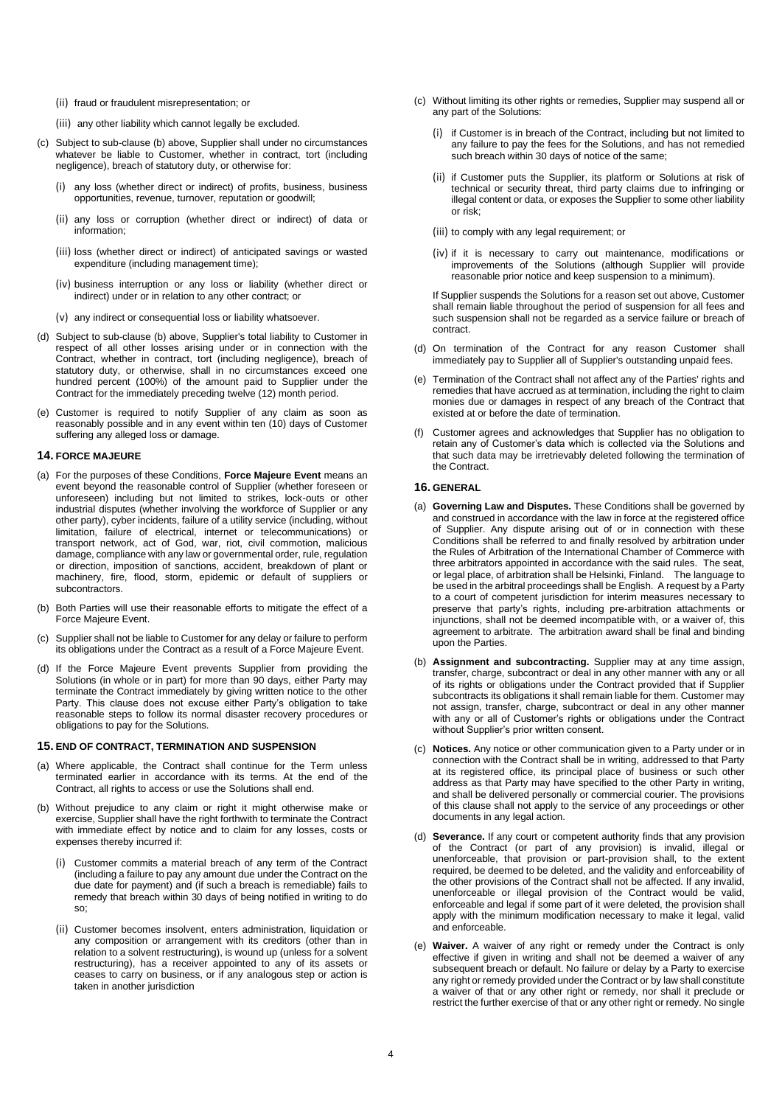- (ii) fraud or fraudulent misrepresentation; or
- (iii) any other liability which cannot legally be excluded.
- (c) Subject to sub-clause (b) above, Supplier shall under no circumstances whatever be liable to Customer, whether in contract, tort (including negligence), breach of statutory duty, or otherwise for:
	- any loss (whether direct or indirect) of profits, business, business opportunities, revenue, turnover, reputation or goodwill;
	- (ii) any loss or corruption (whether direct or indirect) of data or information;
	- (iii) loss (whether direct or indirect) of anticipated savings or wasted expenditure (including management time);
	- (iv) business interruption or any loss or liability (whether direct or indirect) under or in relation to any other contract; or
	- (v) any indirect or consequential loss or liability whatsoever.
- (d) Subject to sub-clause (b) above, Supplier's total liability to Customer in respect of all other losses arising under or in connection with the Contract, whether in contract, tort (including negligence), breach of statutory duty, or otherwise, shall in no circumstances exceed one hundred percent (100%) of the amount paid to Supplier under the Contract for the immediately preceding twelve (12) month period.
- (e) Customer is required to notify Supplier of any claim as soon as reasonably possible and in any event within ten (10) days of Customer suffering any alleged loss or damage.

#### **14. FORCE MAJEURE**

- (a) For the purposes of these Conditions, **Force Majeure Event** means an event beyond the reasonable control of Supplier (whether foreseen or unforeseen) including but not limited to strikes, lock-outs or other industrial disputes (whether involving the workforce of Supplier or any other party), cyber incidents, failure of a utility service (including, without limitation, failure of electrical, internet or telecommunications) or transport network, act of God, war, riot, civil commotion, malicious damage, compliance with any law or governmental order, rule, regulation or direction, imposition of sanctions, accident, breakdown of plant or machinery, fire, flood, storm, epidemic or default of suppliers or subcontractors.
- (b) Both Parties will use their reasonable efforts to mitigate the effect of a Force Majeure Event.
- (c) Supplier shall not be liable to Customer for any delay or failure to perform its obligations under the Contract as a result of a Force Majeure Event.
- (d) If the Force Majeure Event prevents Supplier from providing the Solutions (in whole or in part) for more than 90 days, either Party may terminate the Contract immediately by giving written notice to the other Party. This clause does not excuse either Party's obligation to take reasonable steps to follow its normal disaster recovery procedures or obligations to pay for the Solutions.

#### **15. END OF CONTRACT, TERMINATION AND SUSPENSION**

- (a) Where applicable, the Contract shall continue for the Term unless terminated earlier in accordance with its terms. At the end of the Contract, all rights to access or use the Solutions shall end.
- (b) Without prejudice to any claim or right it might otherwise make or exercise, Supplier shall have the right forthwith to terminate the Contract with immediate effect by notice and to claim for any losses, costs or expenses thereby incurred if:
	- (i) Customer commits a material breach of any term of the Contract (including a failure to pay any amount due under the Contract on the due date for payment) and (if such a breach is remediable) fails to remedy that breach within 30 days of being notified in writing to do so;
	- (ii) Customer becomes insolvent, enters administration, liquidation or any composition or arrangement with its creditors (other than in relation to a solvent restructuring), is wound up (unless for a solvent restructuring), has a receiver appointed to any of its assets or ceases to carry on business, or if any analogous step or action is taken in another jurisdiction
- (c) Without limiting its other rights or remedies, Supplier may suspend all or any part of the Solutions:
	- (i) if Customer is in breach of the Contract, including but not limited to any failure to pay the fees for the Solutions, and has not remedied such breach within 30 days of notice of the same;
	- (ii) if Customer puts the Supplier, its platform or Solutions at risk of technical or security threat, third party claims due to infringing or illegal content or data, or exposes the Supplier to some other liability or risk;
	- (iii) to comply with any legal requirement; or
	- (iv) if it is necessary to carry out maintenance, modifications or improvements of the Solutions (although Supplier will provide reasonable prior notice and keep suspension to a minimum).

If Supplier suspends the Solutions for a reason set out above, Customer shall remain liable throughout the period of suspension for all fees and such suspension shall not be regarded as a service failure or breach of contract.

- (d) On termination of the Contract for any reason Customer shall immediately pay to Supplier all of Supplier's outstanding unpaid fees.
- (e) Termination of the Contract shall not affect any of the Parties' rights and remedies that have accrued as at termination, including the right to claim monies due or damages in respect of any breach of the Contract that existed at or before the date of termination.
- (f) Customer agrees and acknowledges that Supplier has no obligation to retain any of Customer's data which is collected via the Solutions and that such data may be irretrievably deleted following the termination of the Contract.

## **16. GENERAL**

- (a) **Governing Law and Disputes.** These Conditions shall be governed by and construed in accordance with the law in force at the registered office of Supplier. Any dispute arising out of or in connection with these Conditions shall be referred to and finally resolved by arbitration under the Rules of Arbitration of the International Chamber of Commerce with three arbitrators appointed in accordance with the said rules. The seat, or legal place, of arbitration shall be Helsinki, Finland. The language to be used in the arbitral proceedings shall be English. A request by a Party to a court of competent jurisdiction for interim measures necessary to preserve that party's rights, including pre-arbitration attachments or injunctions, shall not be deemed incompatible with, or a waiver of, this agreement to arbitrate. The arbitration award shall be final and binding upon the Parties.
- (b) **Assignment and subcontracting.** Supplier may at any time assign, transfer, charge, subcontract or deal in any other manner with any or all of its rights or obligations under the Contract provided that if Supplier subcontracts its obligations it shall remain liable for them. Customer may not assign, transfer, charge, subcontract or deal in any other manner with any or all of Customer's rights or obligations under the Contract without Supplier's prior written consent.
- (c) **Notices.** Any notice or other communication given to a Party under or in connection with the Contract shall be in writing, addressed to that Party at its registered office, its principal place of business or such other address as that Party may have specified to the other Party in writing, and shall be delivered personally or commercial courier. The provisions of this clause shall not apply to the service of any proceedings or other documents in any legal action.
- (d) **Severance.** If any court or competent authority finds that any provision of the Contract (or part of any provision) is invalid, illegal or unenforceable, that provision or part-provision shall, to the extent required, be deemed to be deleted, and the validity and enforceability of the other provisions of the Contract shall not be affected. If any invalid, unenforceable or illegal provision of the Contract would be valid, enforceable and legal if some part of it were deleted, the provision shall apply with the minimum modification necessary to make it legal, valid and enforceable.
- (e) **Waiver.** A waiver of any right or remedy under the Contract is only effective if given in writing and shall not be deemed a waiver of any subsequent breach or default. No failure or delay by a Party to exercise any right or remedy provided under the Contract or by law shall constitute a waiver of that or any other right or remedy, nor shall it preclude or restrict the further exercise of that or any other right or remedy. No single